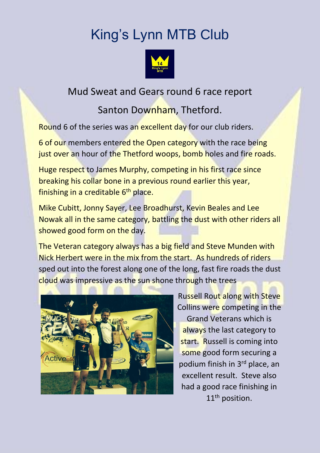## King's Lynn MTB Club



## Mud Sweat and Gears round 6 race report

## Santon Downham, Thetford.

Round 6 of the series was an excellent day for our club riders.

6 of our members entered the Open category with the race being just over an hour of the Thetford woops, bomb holes and fire roads.

Huge respect to James Murphy, competing in his first race since breaking his collar bone in a previous round earlier this year, finishing in a creditable 6<sup>th</sup> place.

Mike Cubitt, Jonny Sayer, Lee Broadhurst, Kevin Beales and Lee Nowak all in the same category, battling the dust with other riders all showed good form on the day.

The Veteran category always has a big field and Steve Munden with Nick Herbert were in the mix from the start. As hundreds of riders sped out into the forest along one of the long, fast fire roads the dust cloud was impressive as the sun shone through the trees



Russell Rout along with Steve Collins were competing in the Grand Veterans which is always the last category to start. Russell is coming into some good form securing a podium finish in 3rd place, an excellent result. Steve also had a good race finishing in 11<sup>th</sup> position.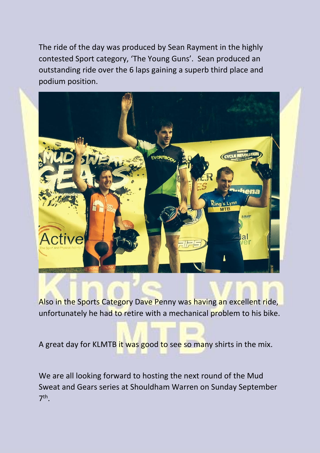The ride of the day was produced by Sean Rayment in the highly contested Sport category, 'The Young Guns'. Sean produced an outstanding ride over the 6 laps gaining a superb third place and podium position.



Also in the Sports Category Dave Penny was having an excellent ride, unfortunately he had to retire with a mechanical problem to his bike.

A great day for KLMTB it was good to see so many shirts in the mix.

We are all looking forward to hosting the next round of the Mud Sweat and Gears series at Shouldham Warren on Sunday September 7<sup>th</sup>.